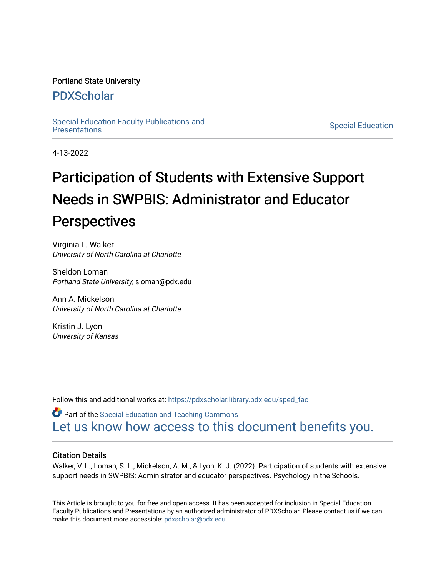## Portland State University

## [PDXScholar](https://pdxscholar.library.pdx.edu/)

[Special Education Faculty Publications and](https://pdxscholar.library.pdx.edu/sped_fac)

**Special Education** 

4-13-2022

# Participation of Students with Extensive Support Needs in SWPBIS: Administrator and Educator **Perspectives**

Virginia L. Walker University of North Carolina at Charlotte

Sheldon Loman Portland State University, sloman@pdx.edu

Ann A. Mickelson University of North Carolina at Charlotte

Kristin J. Lyon University of Kansas

Follow this and additional works at: [https://pdxscholar.library.pdx.edu/sped\\_fac](https://pdxscholar.library.pdx.edu/sped_fac?utm_source=pdxscholar.library.pdx.edu%2Fsped_fac%2F52&utm_medium=PDF&utm_campaign=PDFCoverPages) 

**Part of the Special Education and Teaching Commons** [Let us know how access to this document benefits you.](http://library.pdx.edu/services/pdxscholar-services/pdxscholar-feedback/?ref=https://pdxscholar.library.pdx.edu/sped_fac/52) 

## Citation Details

Walker, V. L., Loman, S. L., Mickelson, A. M., & Lyon, K. J. (2022). Participation of students with extensive support needs in SWPBIS: Administrator and educator perspectives. Psychology in the Schools.

This Article is brought to you for free and open access. It has been accepted for inclusion in Special Education Faculty Publications and Presentations by an authorized administrator of PDXScholar. Please contact us if we can make this document more accessible: [pdxscholar@pdx.edu.](mailto:pdxscholar@pdx.edu)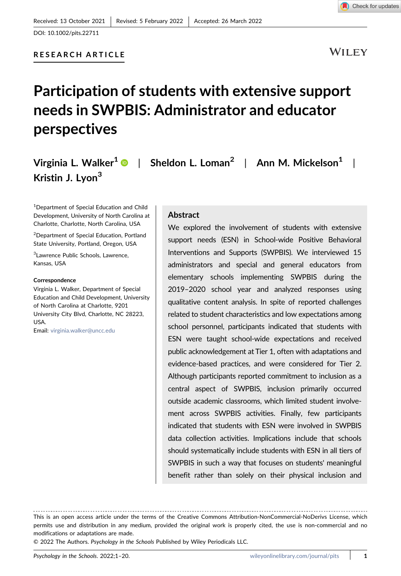WILEY

Check for updates

## Participation of students with extensive support needs in SWPBIS: Administrator and educator perspectives

Virginia L. Walker<sup>1</sup>  $\bullet$  | Sheldon L. Loman<sup>2</sup> | Ann M. Mickelson<sup>1</sup> | Kristin J. Lyon<sup>3</sup>

<sup>1</sup>Department of Special Education and Child Development, University of North Carolina at Charlotte, Charlotte, North Carolina, USA

2 Department of Special Education, Portland State University, Portland, Oregon, USA

<sup>3</sup> Lawrence Public Schools, Lawrence, Kansas, USA

#### Correspondence

Virginia L. Walker, Department of Special Education and Child Development, University of North Carolina at Charlotte, 9201 University City Blvd, Charlotte, NC 28223, USA. Email: [virginia.walker@uncc.edu](mailto:virginia.walker@uncc.edu)

#### **Abstract**

We explored the involvement of students with extensive support needs (ESN) in School‐wide Positive Behavioral Interventions and Supports (SWPBIS). We interviewed 15 administrators and special and general educators from elementary schools implementing SWPBIS during the 2019–2020 school year and analyzed responses using qualitative content analysis. In spite of reported challenges related to student characteristics and low expectations among school personnel, participants indicated that students with ESN were taught school‐wide expectations and received public acknowledgement at Tier 1, often with adaptations and evidence‐based practices, and were considered for Tier 2. Although participants reported commitment to inclusion as a central aspect of SWPBIS, inclusion primarily occurred outside academic classrooms, which limited student involvement across SWPBIS activities. Finally, few participants indicated that students with ESN were involved in SWPBIS data collection activities. Implications include that schools should systematically include students with ESN in all tiers of SWPBIS in such a way that focuses on students' meaningful benefit rather than solely on their physical inclusion and

© 2022 The Authors. Psychology in the Schools Published by Wiley Periodicals LLC.

This is an open access article under the terms of the Creative Commons Attribution‐NonCommercial‐NoDerivs License, which permits use and distribution in any medium, provided the original work is properly cited, the use is non-commercial and no modifications or adaptations are made.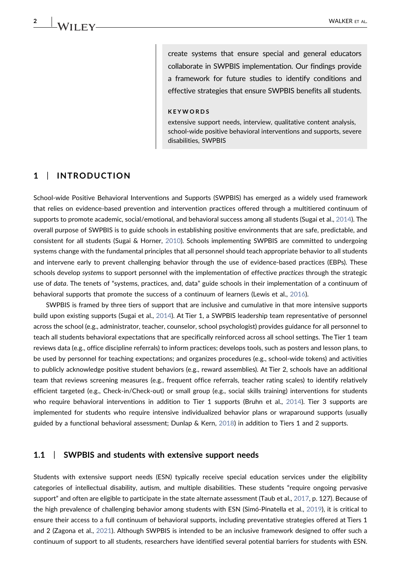create systems that ensure special and general educators collaborate in SWPBIS implementation. Our findings provide a framework for future studies to identify conditions and effective strategies that ensure SWPBIS benefits all students.

#### KEYWORDS

extensive support needs, interview, qualitative content analysis, school‐wide positive behavioral interventions and supports, severe disabilities, SWPBIS

## 1 | INTRODUCTION

School‐wide Positive Behavioral Interventions and Supports (SWPBIS) has emerged as a widely used framework that relies on evidence‐based prevention and intervention practices offered through a multitiered continuum of supports to promote academic, social/emotional, and behavioral success among all students (Sugai et al., [2014\)](#page-19-0). The overall purpose of SWPBIS is to guide schools in establishing positive environments that are safe, predictable, and consistent for all students (Sugai & Horner, [2010\)](#page-19-1). Schools implementing SWPBIS are committed to undergoing systems change with the fundamental principles that all personnel should teach appropriate behavior to all students and intervene early to prevent challenging behavior through the use of evidence‐based practices (EBPs). These schools develop systems to support personnel with the implementation of effective practices through the strategic use of data. The tenets of "systems, practices, and, data" guide schools in their implementation of a continuum of behavioral supports that promote the success of a continuum of learners (Lewis et al., [2016](#page-19-2)).

SWPBIS is framed by three tiers of support that are inclusive and cumulative in that more intensive supports build upon existing supports (Sugai et al., [2014](#page-19-0)). At Tier 1, a SWPBIS leadership team representative of personnel across the school (e.g., administrator, teacher, counselor, school psychologist) provides guidance for all personnel to teach all students behavioral expectations that are specifically reinforced across all school settings. The Tier 1 team reviews data (e.g., office discipline referrals) to inform practices; develops tools, such as posters and lesson plans, to be used by personnel for teaching expectations; and organizes procedures (e.g., school-wide tokens) and activities to publicly acknowledge positive student behaviors (e.g., reward assemblies). At Tier 2, schools have an additional team that reviews screening measures (e.g., frequent office referrals, teacher rating scales) to identify relatively efficient targeted (e.g., Check-in/Check-out) or small group (e.g., social skills training) interventions for students who require behavioral interventions in addition to Tier 1 supports (Bruhn et al., [2014](#page-18-0)). Tier 3 supports are implemented for students who require intensive individualized behavior plans or wraparound supports (usually guided by a functional behavioral assessment; Dunlap & Kern, [2018](#page-18-1)) in addition to Tiers 1 and 2 supports.

#### 1.1 | SWPBIS and students with extensive support needs

Students with extensive support needs (ESN) typically receive special education services under the eligibility categories of intellectual disability, autism, and multiple disabilities. These students "require ongoing pervasive support" and often are eligible to participate in the state alternate assessment (Taub et al., [2017,](#page-19-3) p. 127). Because of the high prevalence of challenging behavior among students with ESN (Simó‐Pinatella et al., [2019](#page-19-4)), it is critical to ensure their access to a full continuum of behavioral supports, including preventative strategies offered at Tiers 1 and 2 (Zagona et al., [2021\)](#page-20-0). Although SWPBIS is intended to be an inclusive framework designed to offer such a continuum of support to all students, researchers have identified several potential barriers for students with ESN.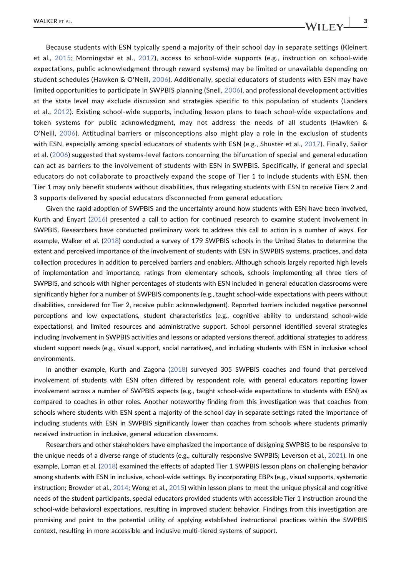Because students with ESN typically spend a majority of their school day in separate settings (Kleinert et al., [2015;](#page-19-5) Morningstar et al., [2017\)](#page-19-6), access to school‐wide supports (e.g., instruction on school‐wide expectations, public acknowledgment through reward systems) may be limited or unavailable depending on student schedules (Hawken & O'Neill, [2006\)](#page-19-7). Additionally, special educators of students with ESN may have limited opportunities to participate in SWPBIS planning (Snell, [2006\)](#page-19-8), and professional development activities at the state level may exclude discussion and strategies specific to this population of students (Landers et al., [2012](#page-19-9)). Existing school-wide supports, including lesson plans to teach school-wide expectations and token systems for public acknowledgment, may not address the needs of all students (Hawken & O'Neill, [2006](#page-19-7)). Attitudinal barriers or misconceptions also might play a role in the exclusion of students with ESN, especially among special educators of students with ESN (e.g., Shuster et al., [2017\)](#page-19-10). Finally, Sailor et al. ([2006\)](#page-19-11) suggested that systems‐level factors concerning the bifurcation of special and general education can act as barriers to the involvement of students with ESN in SWPBIS. Specifically, if general and special educators do not collaborate to proactively expand the scope of Tier 1 to include students with ESN, then Tier 1 may only benefit students without disabilities, thus relegating students with ESN to receive Tiers 2 and 3 supports delivered by special educators disconnected from general education.

Given the rapid adoption of SWPBIS and the uncertainty around how students with ESN have been involved, Kurth and Enyart [\(2016\)](#page-19-12) presented a call to action for continued research to examine student involvement in SWPBIS. Researchers have conducted preliminary work to address this call to action in a number of ways. For example, Walker et al. [\(2018\)](#page-19-13) conducted a survey of 179 SWPBIS schools in the United States to determine the extent and perceived importance of the involvement of students with ESN in SWPBIS systems, practices, and data collection procedures in addition to perceived barriers and enablers. Although schools largely reported high levels of implementation and importance, ratings from elementary schools, schools implementing all three tiers of SWPBIS, and schools with higher percentages of students with ESN included in general education classrooms were significantly higher for a number of SWPBIS components (e.g., taught school‐wide expectations with peers without disabilities, considered for Tier 2, receive public acknowledgment). Reported barriers included negative personnel perceptions and low expectations, student characteristics (e.g., cognitive ability to understand school‐wide expectations), and limited resources and administrative support. School personnel identified several strategies including involvement in SWPBIS activities and lessons or adapted versions thereof, additional strategies to address student support needs (e.g., visual support, social narratives), and including students with ESN in inclusive school environments.

In another example, Kurth and Zagona ([2018](#page-19-14)) surveyed 305 SWPBIS coaches and found that perceived involvement of students with ESN often differed by respondent role, with general educators reporting lower involvement across a number of SWPBIS aspects (e.g., taught school-wide expectations to students with ESN) as compared to coaches in other roles. Another noteworthy finding from this investigation was that coaches from schools where students with ESN spent a majority of the school day in separate settings rated the importance of including students with ESN in SWPBIS significantly lower than coaches from schools where students primarily received instruction in inclusive, general education classrooms.

Researchers and other stakeholders have emphasized the importance of designing SWPBIS to be responsive to the unique needs of a diverse range of students (e.g., culturally responsive SWPBIS; Leverson et al., [2021](#page-19-15)). In one example, Loman et al. [\(2018](#page-19-16)) examined the effects of adapted Tier 1 SWPBIS lesson plans on challenging behavior among students with ESN in inclusive, school‐wide settings. By incorporating EBPs (e.g., visual supports, systematic instruction; Browder et al., [2014](#page-18-2); Wong et al., [2015](#page-20-1)) within lesson plans to meet the unique physical and cognitive needs of the student participants, special educators provided students with accessible Tier 1 instruction around the school‐wide behavioral expectations, resulting in improved student behavior. Findings from this investigation are promising and point to the potential utility of applying established instructional practices within the SWPBIS context, resulting in more accessible and inclusive multi‐tiered systems of support.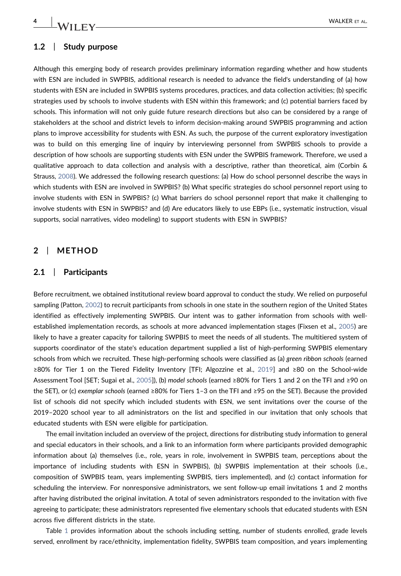

#### 1.2 | Study purpose

Although this emerging body of research provides preliminary information regarding whether and how students with ESN are included in SWPBIS, additional research is needed to advance the field's understanding of (a) how students with ESN are included in SWPBIS systems procedures, practices, and data collection activities; (b) specific strategies used by schools to involve students with ESN within this framework; and (c) potential barriers faced by schools. This information will not only guide future research directions but also can be considered by a range of stakeholders at the school and district levels to inform decision‐making around SWPBIS programming and action plans to improve accessibility for students with ESN. As such, the purpose of the current exploratory investigation was to build on this emerging line of inquiry by interviewing personnel from SWPBIS schools to provide a description of how schools are supporting students with ESN under the SWPBIS framework. Therefore, we used a qualitative approach to data collection and analysis with a descriptive, rather than theoretical, aim (Corbin & Strauss, [2008\)](#page-18-3). We addressed the following research questions: (a) How do school personnel describe the ways in which students with ESN are involved in SWPBIS? (b) What specific strategies do school personnel report using to involve students with ESN in SWPBIS? (c) What barriers do school personnel report that make it challenging to involve students with ESN in SWPBIS? and (d) Are educators likely to use EBPs (i.e., systematic instruction, visual supports, social narratives, video modeling) to support students with ESN in SWPBIS?

#### 2 | METHOD

#### 2.1 | Participants

Before recruitment, we obtained institutional review board approval to conduct the study. We relied on purposeful sampling (Patton, [2002\)](#page-19-17) to recruit participants from schools in one state in the southern region of the United States identified as effectively implementing SWPBIS. Our intent was to gather information from schools with well‐ established implementation records, as schools at more advanced implementation stages (Fixsen et al., [2005](#page-19-18)) are likely to have a greater capacity for tailoring SWPBIS to meet the needs of all students. The multitiered system of supports coordinator of the state's education department supplied a list of high-performing SWPBIS elementary schools from which we recruited. These high-performing schools were classified as (a) green ribbon schools (earned ≥80% for Tier 1 on the Tiered Fidelity Inventory [TFI; Algozzine et al., [2019](#page-18-4)] and ≥80 on the School‐wide Assessment Tool [SET; Sugai et al., [2005\]](#page-19-19)), (b) model schools (earned ≥80% for Tiers 1 and 2 on the TFI and ≥90 on the SET), or (c) exemplar schools (earned ≥80% for Tiers 1–3 on the TFI and ≥95 on the SET). Because the provided list of schools did not specify which included students with ESN, we sent invitations over the course of the 2019–2020 school year to all administrators on the list and specified in our invitation that only schools that educated students with ESN were eligible for participation.

The email invitation included an overview of the project, directions for distributing study information to general and special educators in their schools, and a link to an information form where participants provided demographic information about (a) themselves (i.e., role, years in role, involvement in SWPBIS team, perceptions about the importance of including students with ESN in SWPBIS), (b) SWPBIS implementation at their schools (i.e., composition of SWPBIS team, years implementing SWPBIS, tiers implemented), and (c) contact information for scheduling the interview. For nonresponsive administrators, we sent follow‐up email invitations 1 and 2 months after having distributed the original invitation. A total of seven administrators responded to the invitation with five agreeing to participate; these administrators represented five elementary schools that educated students with ESN across five different districts in the state.

Table [1](#page-6-0) provides information about the schools including setting, number of students enrolled, grade levels served, enrollment by race/ethnicity, implementation fidelity, SWPBIS team composition, and years implementing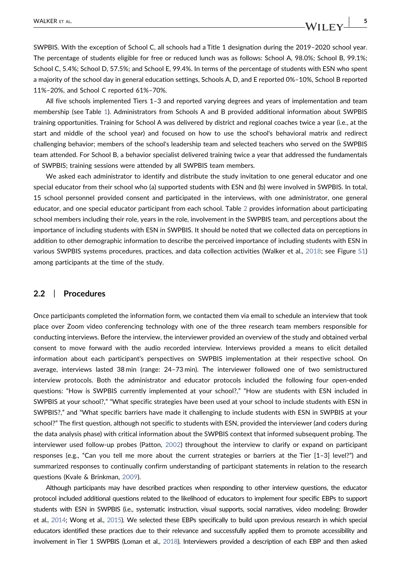SWPBIS. With the exception of School C, all schools had a Title 1 designation during the 2019–2020 school year. The percentage of students eligible for free or reduced lunch was as follows: School A, 98.0%; School B, 99.1%; School C, 5.4%; School D, 57.5%; and School E, 99.4%. In terms of the percentage of students with ESN who spent a majority of the school day in general education settings, Schools A, D, and E reported 0%–10%, School B reported 11%–20%, and School C reported 61%–70%.

All five schools implemented Tiers 1–3 and reported varying degrees and years of implementation and team membership (see Table [1](#page-6-0)). Administrators from Schools A and B provided additional information about SWPBIS training opportunities. Training for School A was delivered by district and regional coaches twice a year (i.e., at the start and middle of the school year) and focused on how to use the school's behavioral matrix and redirect challenging behavior; members of the school's leadership team and selected teachers who served on the SWPBIS team attended. For School B, a behavior specialist delivered training twice a year that addressed the fundamentals of SWPBIS; training sessions were attended by all SWPBIS team members.

We asked each administrator to identify and distribute the study invitation to one general educator and one special educator from their school who (a) supported students with ESN and (b) were involved in SWPBIS. In total, 15 school personnel provided consent and participated in the interviews, with one administrator, one general educator, and one special educator participant from each school. Table [2](#page-8-0) provides information about participating school members including their role, years in the role, involvement in the SWPBIS team, and perceptions about the importance of including students with ESN in SWPBIS. It should be noted that we collected data on perceptions in addition to other demographic information to describe the perceived importance of including students with ESN in various SWPBIS systems procedures, practices, and data collection activities (Walker et al., [2018](#page-19-13); see Figure S1) among participants at the time of the study.

#### 2.2 | Procedures

Once participants completed the information form, we contacted them via email to schedule an interview that took place over Zoom video conferencing technology with one of the three research team members responsible for conducting interviews. Before the interview, the interviewer provided an overview of the study and obtained verbal consent to move forward with the audio recorded interview. Interviews provided a means to elicit detailed information about each participant's perspectives on SWPBIS implementation at their respective school. On average, interviews lasted 38 min (range: 24–73 min). The interviewer followed one of two semistructured interview protocols. Both the administrator and educator protocols included the following four open‐ended questions: "How is SWPBIS currently implemented at your school?," "How are students with ESN included in SWPBIS at your school?," "What specific strategies have been used at your school to include students with ESN in SWPBIS?," and "What specific barriers have made it challenging to include students with ESN in SWPBIS at your school?" The first question, although not specific to students with ESN, provided the interviewer (and coders during the data analysis phase) with critical information about the SWPBIS context that informed subsequent probing. The interviewer used follow‐up probes (Patton, [2002](#page-19-17)) throughout the interview to clarify or expand on participant responses (e.g., "Can you tell me more about the current strategies or barriers at the Tier [1–3] level?") and summarized responses to continually confirm understanding of participant statements in relation to the research questions (Kvale & Brinkman, [2009](#page-19-20)).

Although participants may have described practices when responding to other interview questions, the educator protocol included additional questions related to the likelihood of educators to implement four specific EBPs to support students with ESN in SWPBIS (i.e., systematic instruction, visual supports, social narratives, video modeling; Browder et al., [2014](#page-18-2); Wong et al., [2015\)](#page-20-1). We selected these EBPs specifically to build upon previous research in which special educators identified these practices due to their relevance and successfully applied them to promote accessibility and involvement in Tier 1 SWPBIS (Loman et al., [2018\)](#page-19-16). Interviewers provided a description of each EBP and then asked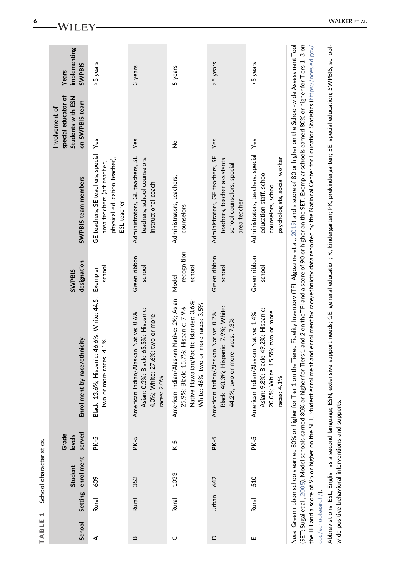<span id="page-6-0"></span>

| TABLE             | $\overline{\phantom{0}}$ | School characteristics.                         |                           |                                                                                                                                                                                                                                                                                                                                                                                                                                                                                                                                  |                              |                                                                                                                     |                                                                              |                                        |
|-------------------|--------------------------|-------------------------------------------------|---------------------------|----------------------------------------------------------------------------------------------------------------------------------------------------------------------------------------------------------------------------------------------------------------------------------------------------------------------------------------------------------------------------------------------------------------------------------------------------------------------------------------------------------------------------------|------------------------------|---------------------------------------------------------------------------------------------------------------------|------------------------------------------------------------------------------|----------------------------------------|
| School            | <b>Setting</b>           | enrollment<br>Student                           | served<br>Grade<br>levels | Enrollment by race/ethnicity                                                                                                                                                                                                                                                                                                                                                                                                                                                                                                     | designation<br><b>SWPBIS</b> | SWPBIS team members                                                                                                 | special educator of<br>Students with ESN<br>on SWPBIS team<br>Involvement of | implementing<br><b>SWPBIS</b><br>Years |
| ⋖                 | Rural                    | 609                                             | PK-5                      | Black: 13.6%; Hispanic: 46.6%; White: 44.5; Exemplar<br>two or more races: 4.1%                                                                                                                                                                                                                                                                                                                                                                                                                                                  | school                       | GE teachers, SE teachers, special Yes<br>physical education teacher),<br>area teachers (art teacher,<br>ESL teacher |                                                                              | >5 years                               |
| $\mathbf{\Omega}$ | Rural                    | 352                                             | <b>PK-5</b>               | Asian: 0.3%; Black: 65.5%; Hispanic:<br>American Indian/Alaskan Native: 0.6%;<br>4.0%; White: 27.6%; two or more<br>races: 2.0%                                                                                                                                                                                                                                                                                                                                                                                                  | Green ribbon<br>school       | Administrators, GE teachers, SE<br>teachers, school counselors,<br>instructional coach                              | Yes                                                                          | 3 years                                |
| ပ                 | Rural                    | 1033                                            | $K-5$                     | American Indian/Alaskan Native: 2%; Asian: Model<br>Native Hawaiian/Pacific Islander: 0.6%;<br>White: 46%; two or more races: 3.5%<br>25.9%; Black: 15.7%; Hispanic: 7.9%;                                                                                                                                                                                                                                                                                                                                                       | recognition<br>school        | Administrators, teachers,<br>counselors                                                                             | $\frac{1}{2}$                                                                | 5 years                                |
| ≏                 | Urban                    | 642                                             | PK-5                      | Black: 40.3%; Hispanic: 7.9%; White:<br>American Indian/Alaskan Native: 0.2%;<br>44.2%; two or more races: 7.3%                                                                                                                                                                                                                                                                                                                                                                                                                  | Green ribbon<br>school       | Administrators, GE teachers, SE<br>teachers, teacher assistants,<br>school counselors, special<br>area teacher      | Yes                                                                          | >5 years                               |
| ш                 | Rural                    | 510                                             | PK-5                      | Asian: 9.8%; Black: 49.2%; Hispanic:<br>American Indian/Alaskan Native: 1.4%;<br>20.0%; White: 15.5%; two or more<br>races: 4.1%                                                                                                                                                                                                                                                                                                                                                                                                 | Green ribbon<br>school       | Administrators, teachers, special<br>psychologists, social worker<br>education staff, school<br>counselors, school  | Yes                                                                          | >5 years                               |
|                   | ccd/schoolsearch/).      | the TFI and a score of 95 or higher on the SET. |                           | Note: Green ribbon schools earned 80% or higher for Tier 1 on the Tiered Fidelity Inventory (TFI; Algozzine et al., 2019) and a score of 80 or higher on the School-wide Assessment Tool<br>Student enrollment and enrollment by race/ethnicity data reported by the National Center for Education Statistics (https://nces.ed.gov/<br>(SET; Sugai et al., 2005). Model schools earned 80% or higher for Tiers 1 and 2 on the TFI and a score of 90 or higher on the SET. Exemplar schools earned 80% or higher for Tiers 1–3 on |                              |                                                                                                                     |                                                                              |                                        |

Abbreviations: ESL, English as a second language; ESN, extensive support needs; GE, general education; K, kindergarten; PK, prekindergarten; SE, special education; SWPBIS, school-<br>wide positive behavioral interventions and Abbreviations: ESL, English as a second language; ESN, extensive support needs; GE, general education; K, kindergarten; PK, prekindergarten; SE, special education; SWPBIS, school‐ wide positive behavioral interventions and supports.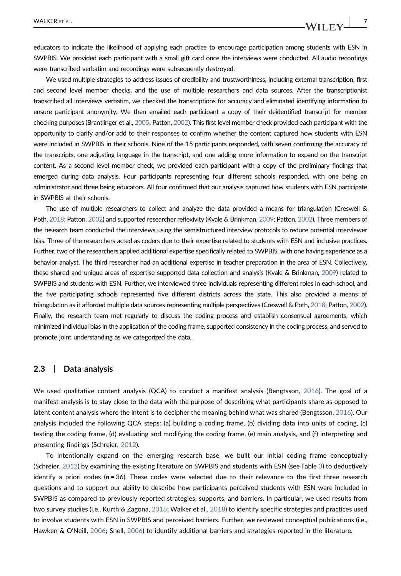educators to indicate the likelihood of applying each practice to encourage participation among students with ESN in SWPBIS. We provided each participant with a small gift card once the interviews were conducted. All audio recordings were transcribed verbatim and recordings were subsequently destroyed.

We used multiple strategies to address issues of credibility and trustworthiness, including external transcription, first and second level member checks, and the use of multiple researchers and data sources. After the transcriptionist transcribed all interviews verbatim, we checked the transcriptions for accuracy and eliminated identifying information to ensure participant anonymity. We then emailed each participant a copy of their deidentified transcript for member checking purposes (Brantlinger et al., [2005](#page-18-5); Patton, [2002](#page-19-17)). This first level member check provided each participant with the opportunity to clarify and/or add to their responses to confirm whether the content captured how students with ESN were included in SWPBIS in their schools. Nine of the 15 participants responded, with seven confirming the accuracy of the transcripts, one adjusting language in the transcript, and one adding more information to expand on the transcript content. As a second level member check, we provided each participant with a copy of the preliminary findings that emerged during data analysis. Four participants representing four different schools responded, with one being an administrator and three being educators. All four confirmed that our analysis captured how students with ESN participate in SWPBIS at their schools.

The use of multiple researchers to collect and analyze the data provided a means for triangulation (Creswell & Poth, [2018](#page-18-6); Patton, [2002](#page-19-17)) and supported researcher reflexivity (Kvale & Brinkman, [2009;](#page-19-20) Patton, [2002\)](#page-19-17). Three members of the research team conducted the interviews using the semistructured interview protocols to reduce potential interviewer bias. Three of the researchers acted as coders due to their expertise related to students with ESN and inclusive practices. Further, two of the researchers applied additional expertise specifically related to SWPBIS, with one having experience as a behavior analyst. The third researcher had an additional expertise in teacher preparation in the area of ESN. Collectively, these shared and unique areas of expertise supported data collection and analysis (Kvale & Brinkman, [2009](#page-19-20)) related to SWPBIS and students with ESN. Further, we interviewed three individuals representing different roles in each school, and the five participating schools represented five different districts across the state. This also provided a means of triangulation as it afforded multiple data sources representing multiple perspectives (Creswell & Poth, [2018](#page-18-6); Patton, [2002](#page-19-17)). Finally, the research team met regularly to discuss the coding process and establish consensual agreements, which minimized individual bias in the application of the coding frame, supported consistency in the coding process, and served to promote joint understanding as we categorized the data.

#### 2.3 | Data analysis

We used qualitative content analysis (QCA) to conduct a manifest analysis (Bengtsson, [2016](#page-18-7)). The goal of a manifest analysis is to stay close to the data with the purpose of describing what participants share as opposed to latent content analysis where the intent is to decipher the meaning behind what was shared (Bengtsson, [2016](#page-18-7)). Our analysis included the following QCA steps: (a) building a coding frame, (b) dividing data into units of coding, (c) testing the coding frame, (d) evaluating and modifying the coding frame, (e) main analysis, and (f) interpreting and presenting findings (Schreier, [2012\)](#page-19-21).

To intentionally expand on the emerging research base, we built our initial coding frame conceptually (Schreier, [2012\)](#page-19-21) by examining the existing literature on SWPBIS and students with ESN (see Table [3\)](#page-10-0) to deductively identify a priori codes ( $n = 36$ ). These codes were selected due to their relevance to the first three research questions and to support our ability to describe how participants perceived students with ESN were included in SWPBIS as compared to previously reported strategies, supports, and barriers. In particular, we used results from two survey studies (i.e., Kurth & Zagona, [2018;](#page-19-14) Walker et al., [2018\)](#page-19-13) to identify specific strategies and practices used to involve students with ESN in SWPBIS and perceived barriers. Further, we reviewed conceptual publications (i.e., Hawken & O'Neill, [2006;](#page-19-7) Snell, [2006](#page-19-8)) to identify additional barriers and strategies reported in the literature.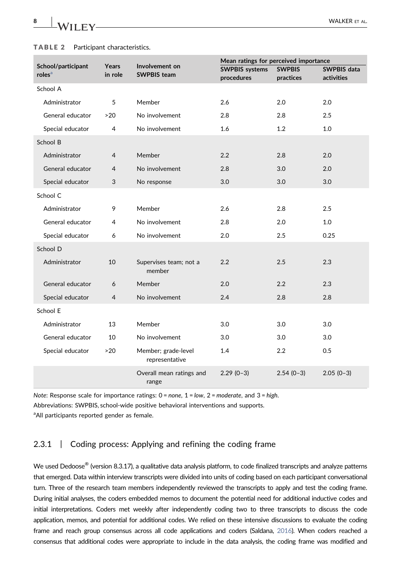

<span id="page-8-0"></span>

| Participant characteristics.<br><b>TABLE 2</b> |  |
|------------------------------------------------|--|
|------------------------------------------------|--|

|                                          |                  |                                       | Mean ratings for perceived importance |                            |                                  |
|------------------------------------------|------------------|---------------------------------------|---------------------------------------|----------------------------|----------------------------------|
| School/participant<br>roles <sup>a</sup> | Years<br>in role | Involvement on<br><b>SWPBIS team</b>  | <b>SWPBIS systems</b><br>procedures   | <b>SWPBIS</b><br>practices | <b>SWPBIS data</b><br>activities |
| School A                                 |                  |                                       |                                       |                            |                                  |
| Administrator                            | 5                | Member                                | 2.6                                   | 2.0                        | 2.0                              |
| General educator                         | >20              | No involvement                        | 2.8                                   | 2.8                        | 2.5                              |
| Special educator                         | 4                | No involvement                        | 1.6                                   | 1.2                        | 1.0                              |
| School B                                 |                  |                                       |                                       |                            |                                  |
| Administrator                            | $\overline{4}$   | Member                                | $2.2\phantom{0}$                      | 2.8                        | 2.0                              |
| General educator                         | 4                | No involvement                        | 2.8                                   | 3.0                        | 2.0                              |
| Special educator                         | 3                | No response                           | 3.0                                   | 3.0                        | 3.0                              |
| School C                                 |                  |                                       |                                       |                            |                                  |
| Administrator                            | 9                | Member                                | 2.6                                   | 2.8                        | 2.5                              |
| General educator                         | 4                | No involvement                        | 2.8                                   | 2.0                        | 1.0                              |
| Special educator                         | 6                | No involvement                        | 2.0                                   | 2.5                        | 0.25                             |
| School D                                 |                  |                                       |                                       |                            |                                  |
| Administrator                            | 10               | Supervises team; not a<br>member      | 2.2                                   | 2.5                        | 2.3                              |
| General educator                         | 6                | Member                                | 2.0                                   | 2.2                        | 2.3                              |
| Special educator                         | $\overline{4}$   | No involvement                        | 2.4                                   | 2.8                        | 2.8                              |
| School E                                 |                  |                                       |                                       |                            |                                  |
| Administrator                            | 13               | Member                                | 3.0                                   | 3.0                        | 3.0                              |
| General educator                         | 10               | No involvement                        | 3.0                                   | 3.0                        | 3.0                              |
| Special educator                         | >20              | Member; grade-level<br>representative | 1.4                                   | 2.2                        | 0.5                              |
|                                          |                  | Overall mean ratings and<br>range     | $2.29(0-3)$                           | $2.54(0-3)$                | $2.05(0-3)$                      |

Note: Response scale for importance ratings:  $0 = none$ ,  $1 = low$ ,  $2 = moderate$ , and  $3 = high$ . Abbreviations: SWPBIS, school‐wide positive behavioral interventions and supports.

<span id="page-8-1"></span><sup>a</sup>All participants reported gender as female.

## 2.3.1 | Coding process: Applying and refining the coding frame

We used Dedoose® (version 8.3.17), a qualitative data analysis platform, to code finalized transcripts and analyze patterns that emerged. Data within interview transcripts were divided into units of coding based on each participant conversational turn. Three of the research team members independently reviewed the transcripts to apply and test the coding frame. During initial analyses, the coders embedded memos to document the potential need for additional inductive codes and initial interpretations. Coders met weekly after independently coding two to three transcripts to discuss the code application, memos, and potential for additional codes. We relied on these intensive discussions to evaluate the coding frame and reach group consensus across all code applications and coders (Saldana, [2016\)](#page-19-22). When coders reached a consensus that additional codes were appropriate to include in the data analysis, the coding frame was modified and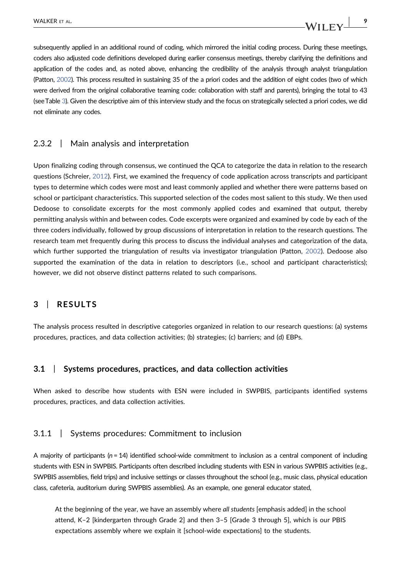subsequently applied in an additional round of coding, which mirrored the initial coding process. During these meetings, coders also adjusted code definitions developed during earlier consensus meetings, thereby clarifying the definitions and application of the codes and, as noted above, enhancing the credibility of the analysis through analyst triangulation (Patton, [2002](#page-19-17)). This process resulted in sustaining 35 of the a priori codes and the addition of eight codes (two of which were derived from the original collaborative teaming code: collaboration with staff and parents), bringing the total to 43 (seeTable [3](#page-10-0)). Given the descriptive aim of this interview study and the focus on strategically selected a priori codes, we did not eliminate any codes.

#### 2.3.2 | Main analysis and interpretation

Upon finalizing coding through consensus, we continued the QCA to categorize the data in relation to the research questions (Schreier, [2012](#page-19-21)). First, we examined the frequency of code application across transcripts and participant types to determine which codes were most and least commonly applied and whether there were patterns based on school or participant characteristics. This supported selection of the codes most salient to this study. We then used Dedoose to consolidate excerpts for the most commonly applied codes and examined that output, thereby permitting analysis within and between codes. Code excerpts were organized and examined by code by each of the three coders individually, followed by group discussions of interpretation in relation to the research questions. The research team met frequently during this process to discuss the individual analyses and categorization of the data, which further supported the triangulation of results via investigator triangulation (Patton, [2002\)](#page-19-17). Dedoose also supported the examination of the data in relation to descriptors (i.e., school and participant characteristics); however, we did not observe distinct patterns related to such comparisons.

## 3 | RESULTS

The analysis process resulted in descriptive categories organized in relation to our research questions: (a) systems procedures, practices, and data collection activities; (b) strategies; (c) barriers; and (d) EBPs.

#### 3.1 | Systems procedures, practices, and data collection activities

When asked to describe how students with ESN were included in SWPBIS, participants identified systems procedures, practices, and data collection activities.

#### 3.1.1 | Systems procedures: Commitment to inclusion

A majority of participants ( $n = 14$ ) identified school-wide commitment to inclusion as a central component of including students with ESN in SWPBIS. Participants often described including students with ESN in various SWPBIS activities (e.g., SWPBIS assemblies, field trips) and inclusive settings or classes throughout the school (e.g., music class, physical education class, cafeteria, auditorium during SWPBIS assemblies). As an example, one general educator stated,

At the beginning of the year, we have an assembly where all students [emphasis added] in the school attend, K–2 [kindergarten through Grade 2] and then 3–5 [Grade 3 through 5], which is our PBIS expectations assembly where we explain it [school‐wide expectations] to the students.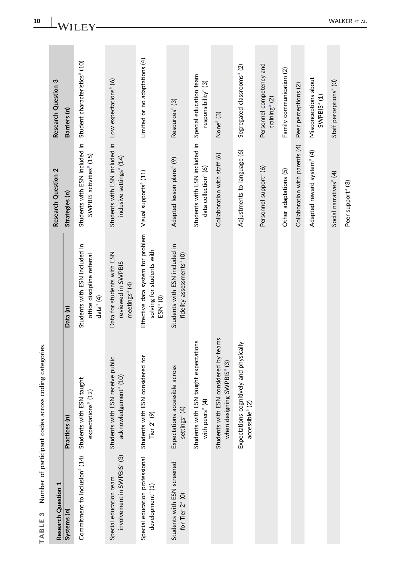<span id="page-10-0"></span>

| Number of participant codes<br>S<br>TABLE                          | across coding categories.                                                           |                                                                                        |                                                                                                                |                                                         |
|--------------------------------------------------------------------|-------------------------------------------------------------------------------------|----------------------------------------------------------------------------------------|----------------------------------------------------------------------------------------------------------------|---------------------------------------------------------|
| <b>Research Question 1</b>                                         |                                                                                     |                                                                                        | Research Question 2                                                                                            | Research Question 3                                     |
| Systems (n)                                                        | Practices (n)                                                                       | Data (n)                                                                               | Strategies (n)                                                                                                 | Barriers (n)                                            |
| Commitment to inclusion <sup>®</sup> (14) Students with ESN taught | expectations <sup>a</sup> (12)                                                      | Students with ESN included in<br>office discipline referral<br>data $^{a}$ (4)         | Students with ESN included in Student characteristics <sup>®</sup> (10)<br>SWPBIS activities <sup>ª</sup> (15) |                                                         |
| involvement in SWPBIS <sup>ª</sup> (3)<br>Special education team   | Students with ESN receive public<br>acknowledgement <sup>a</sup> (10)               | Data for students with ESN<br>reviewed in SWPBIS<br>meetings <sup>a</sup> (4)          | Students with ESN included in Low expectations <sup>®</sup> (6)<br>inclusive settings <sup>a</sup> (14)        |                                                         |
| Special education professional<br>development <sup>a</sup> (1)     | Students with ESN considered for<br>$\widehat{\mathfrak{G}}$<br>Tier 2 <sup>a</sup> | Effective data system for problem<br>solving for students with<br>ESN <sup>a</sup> (0) | Visual supports <sup>ª</sup> (11)                                                                              | Limited or no adaptations (4)                           |
| Students with ESN screened<br>for Tier 2 <sup>ª</sup> (0)          | Expectations accessible across<br>settings <sup>a</sup> (4)                         | Students with ESN included in<br>fidelity assessments <sup>a</sup> (O)                 | Adapted lesson plans <sup>ª</sup> (9)                                                                          | Resources <sup>ª</sup> (3)                              |
|                                                                    | Students with ESN taught expectations<br>with peers <sup>ª</sup> (4)                |                                                                                        | Students with ESN included in Special education team<br>data collection <sup>a</sup> (6)                       | esponsibility <sup>a</sup> (3)                          |
|                                                                    | Students with ESN considered by teams<br>when designing SWPBIS <sup>ª</sup> (3)     |                                                                                        | Collaboration with staff (6)                                                                                   | None <sup>a</sup> (3)                                   |
|                                                                    | Expectations cognitively and physically<br>$olea$ (2)<br>accessib                   |                                                                                        | Adjustments to language (6)                                                                                    | Segregated classrooms <sup>a</sup> (2)                  |
|                                                                    |                                                                                     |                                                                                        | Personnel support <sup>a</sup> (6)                                                                             | Personnel competency and<br>training <sup>a</sup> $(2)$ |
|                                                                    |                                                                                     |                                                                                        | Other adaptations (5)                                                                                          | Family communication (2)                                |
|                                                                    |                                                                                     |                                                                                        | Collaboration with parents (4) Peer perceptions (2)                                                            |                                                         |
|                                                                    |                                                                                     |                                                                                        | Adapted reward system <sup>ª</sup> (4)                                                                         | Misconceptions about<br>SWPBIS <sup>ª</sup> (1)         |
|                                                                    |                                                                                     |                                                                                        | Social narratives <sup>ª</sup> (4)                                                                             | Staff perceptions <sup>ª</sup> (O)                      |
|                                                                    |                                                                                     |                                                                                        | Peer support <sup>a</sup> (3)                                                                                  |                                                         |

 $\frac{10}{1}$ 

 $\perp_{\mathsf{WILEY}}$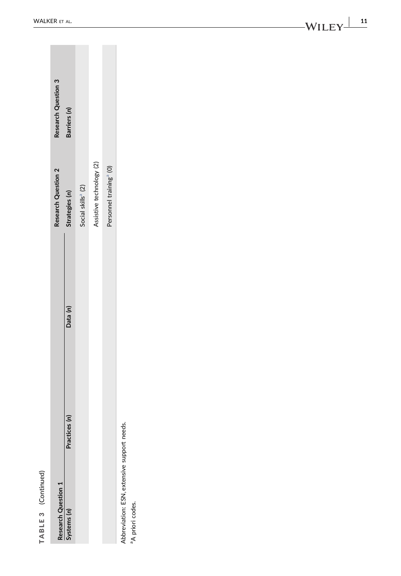| ຕ |  |
|---|--|
| ī |  |
|   |  |
|   |  |
| т |  |
|   |  |

<span id="page-11-0"></span>

| Research Question 1                          |               |          | Research Question 2                 | <b>Research Question 3</b> |
|----------------------------------------------|---------------|----------|-------------------------------------|----------------------------|
| Systems (n)                                  | Practices (n) | Data (n) | Strategies (n)                      | Barriers (n)               |
|                                              |               |          | Social skills <sup>ª</sup> (2)      |                            |
|                                              |               |          | Assistive technology (2)            |                            |
|                                              |               |          | Personnel training <sup>a</sup> (0) |                            |
| Athenistic in FCNI cuttomic communication of |               |          |                                     |                            |

Abbreviation: ESN, extensive support needs.<br><sup>a</sup>A priori codes. Abbreviation: ESN, extensive support needs.

<sup>a</sup>A priori codes.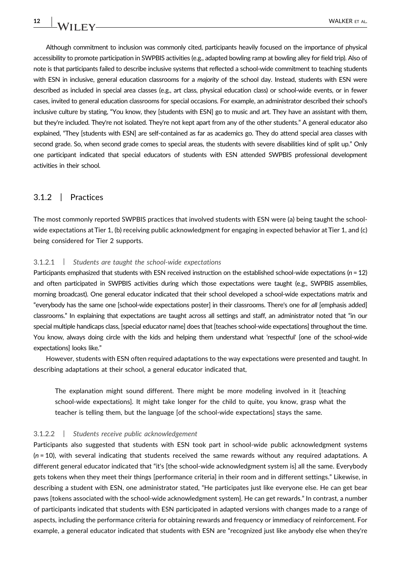Although commitment to inclusion was commonly cited, participants heavily focused on the importance of physical accessibility to promote participation in SWPBIS activities (e.g., adapted bowling ramp at bowling alley for field trip). Also of note is that participants failed to describe inclusive systems that reflected a school-wide commitment to teaching students with ESN in inclusive, general education classrooms for a majority of the school day. Instead, students with ESN were described as included in special area classes (e.g., art class, physical education class) or school‐wide events, or in fewer cases, invited to general education classrooms for special occasions. For example, an administrator described their school's inclusive culture by stating, "You know, they [students with ESN] go to music and art. They have an assistant with them, but they're included. They're not isolated. They're not kept apart from any of the other students." A general educator also explained, "They [students with ESN] are self-contained as far as academics go. They do attend special area classes with second grade. So, when second grade comes to special areas, the students with severe disabilities kind of split up." Only one participant indicated that special educators of students with ESN attended SWPBIS professional development activities in their school.

#### 3.1.2 | Practices

The most commonly reported SWPBIS practices that involved students with ESN were (a) being taught the schoolwide expectations at Tier 1, (b) receiving public acknowledgment for engaging in expected behavior at Tier 1, and (c) being considered for Tier 2 supports.

#### 3.1.2.1 | Students are taught the school‐wide expectations

Participants emphasized that students with ESN received instruction on the established school-wide expectations ( $n = 12$ ) and often participated in SWPBIS activities during which those expectations were taught (e.g., SWPBIS assemblies, morning broadcast). One general educator indicated that their school developed a school‐wide expectations matrix and "everybody has the same one [school-wide expectations poster] in their classrooms. There's one for all [emphasis added] classrooms." In explaining that expectations are taught across all settings and staff, an administrator noted that "in our special multiple handicaps class, [special educator name] does that [teaches school-wide expectations] throughout the time. You know, always doing circle with the kids and helping them understand what 'respectful' [one of the school-wide expectations] looks like."

However, students with ESN often required adaptations to the way expectations were presented and taught. In describing adaptations at their school, a general educator indicated that,

The explanation might sound different. There might be more modeling involved in it [teaching school‐wide expectations]. It might take longer for the child to quite, you know, grasp what the teacher is telling them, but the language [of the school‐wide expectations] stays the same.

#### 3.1.2.2 | Students receive public acknowledgement

Participants also suggested that students with ESN took part in school‐wide public acknowledgment systems  $(n = 10)$ , with several indicating that students received the same rewards without any required adaptations. A different general educator indicated that "it's [the school-wide acknowledgment system is] all the same. Everybody gets tokens when they meet their things [performance criteria] in their room and in different settings." Likewise, in describing a student with ESN, one administrator stated, "He participates just like everyone else. He can get bear paws [tokens associated with the school‐wide acknowledgment system]. He can get rewards." In contrast, a number of participants indicated that students with ESN participated in adapted versions with changes made to a range of aspects, including the performance criteria for obtaining rewards and frequency or immediacy of reinforcement. For example, a general educator indicated that students with ESN are "recognized just like anybody else when they're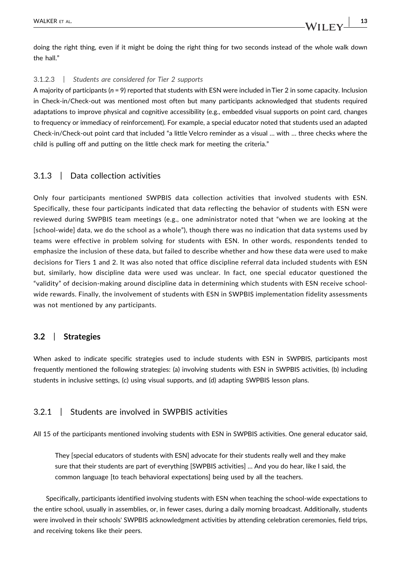doing the right thing, even if it might be doing the right thing for two seconds instead of the whole walk down the hall."

#### 3.1.2.3 | Students are considered for Tier 2 supports

A majority of participants ( $n = 9$ ) reported that students with ESN were included in Tier 2 in some capacity. Inclusion in Check‐in/Check‐out was mentioned most often but many participants acknowledged that students required adaptations to improve physical and cognitive accessibility (e.g., embedded visual supports on point card, changes to frequency or immediacy of reinforcement). For example, a special educator noted that students used an adapted Check‐in/Check‐out point card that included "a little Velcro reminder as a visual … with … three checks where the child is pulling off and putting on the little check mark for meeting the criteria."

#### 3.1.3 | Data collection activities

Only four participants mentioned SWPBIS data collection activities that involved students with ESN. Specifically, these four participants indicated that data reflecting the behavior of students with ESN were reviewed during SWPBIS team meetings (e.g., one administrator noted that "when we are looking at the [school-wide] data, we do the school as a whole"), though there was no indication that data systems used by teams were effective in problem solving for students with ESN. In other words, respondents tended to emphasize the inclusion of these data, but failed to describe whether and how these data were used to make decisions for Tiers 1 and 2. It was also noted that office discipline referral data included students with ESN but, similarly, how discipline data were used was unclear. In fact, one special educator questioned the "validity" of decision‐making around discipline data in determining which students with ESN receive school‐ wide rewards. Finally, the involvement of students with ESN in SWPBIS implementation fidelity assessments was not mentioned by any participants.

#### 3.2 | Strategies

When asked to indicate specific strategies used to include students with ESN in SWPBIS, participants most frequently mentioned the following strategies: (a) involving students with ESN in SWPBIS activities, (b) including students in inclusive settings, (c) using visual supports, and (d) adapting SWPBIS lesson plans.

## 3.2.1 | Students are involved in SWPBIS activities

All 15 of the participants mentioned involving students with ESN in SWPBIS activities. One general educator said,

They [special educators of students with ESN] advocate for their students really well and they make sure that their students are part of everything [SWPBIS activities] … And you do hear, like I said, the common language [to teach behavioral expectations] being used by all the teachers.

Specifically, participants identified involving students with ESN when teaching the school‐wide expectations to the entire school, usually in assemblies, or, in fewer cases, during a daily morning broadcast. Additionally, students were involved in their schools' SWPBIS acknowledgment activities by attending celebration ceremonies, field trips, and receiving tokens like their peers.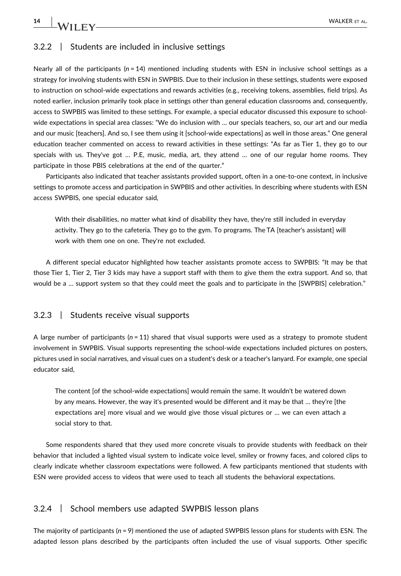#### 3.2.2 | Students are included in inclusive settings

Nearly all of the participants ( $n = 14$ ) mentioned including students with ESN in inclusive school settings as a strategy for involving students with ESN in SWPBIS. Due to their inclusion in these settings, students were exposed to instruction on school-wide expectations and rewards activities (e.g., receiving tokens, assemblies, field trips). As noted earlier, inclusion primarily took place in settings other than general education classrooms and, consequently, access to SWPBIS was limited to these settings. For example, a special educator discussed this exposure to school‐ wide expectations in special area classes: "We do inclusion with … our specials teachers, so, our art and our media and our music [teachers]. And so, I see them using it [school‐wide expectations] as well in those areas." One general education teacher commented on access to reward activities in these settings: "As far as Tier 1, they go to our specials with us. They've got … P.E, music, media, art, they attend … one of our regular home rooms. They participate in those PBIS celebrations at the end of the quarter."

Participants also indicated that teacher assistants provided support, often in a one‐to‐one context, in inclusive settings to promote access and participation in SWPBIS and other activities. In describing where students with ESN access SWPBIS, one special educator said,

With their disabilities, no matter what kind of disability they have, they're still included in everyday activity. They go to the cafeteria. They go to the gym. To programs. The TA [teacher's assistant] will work with them one on one. They're not excluded.

A different special educator highlighted how teacher assistants promote access to SWPBIS: "It may be that those Tier 1, Tier 2, Tier 3 kids may have a support staff with them to give them the extra support. And so, that would be a ... support system so that they could meet the goals and to participate in the [SWPBIS] celebration."

## 3.2.3 | Students receive visual supports

A large number of participants ( $n = 11$ ) shared that visual supports were used as a strategy to promote student involvement in SWPBIS. Visual supports representing the school‐wide expectations included pictures on posters, pictures used in social narratives, and visual cues on a student's desk or a teacher's lanyard. For example, one special educator said,

The content [of the school‐wide expectations] would remain the same. It wouldn't be watered down by any means. However, the way it's presented would be different and it may be that … they're [the expectations are] more visual and we would give those visual pictures or … we can even attach a social story to that.

Some respondents shared that they used more concrete visuals to provide students with feedback on their behavior that included a lighted visual system to indicate voice level, smiley or frowny faces, and colored clips to clearly indicate whether classroom expectations were followed. A few participants mentioned that students with ESN were provided access to videos that were used to teach all students the behavioral expectations.

#### 3.2.4 | School members use adapted SWPBIS lesson plans

The majority of participants ( $n = 9$ ) mentioned the use of adapted SWPBIS lesson plans for students with ESN. The adapted lesson plans described by the participants often included the use of visual supports. Other specific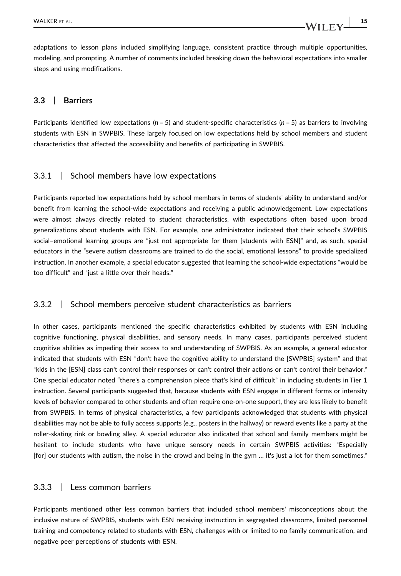adaptations to lesson plans included simplifying language, consistent practice through multiple opportunities, modeling, and prompting. A number of comments included breaking down the behavioral expectations into smaller steps and using modifications.

## 3.3 | Barriers

Participants identified low expectations ( $n = 5$ ) and student-specific characteristics ( $n = 5$ ) as barriers to involving students with ESN in SWPBIS. These largely focused on low expectations held by school members and student characteristics that affected the accessibility and benefits of participating in SWPBIS.

#### 3.3.1 | School members have low expectations

Participants reported low expectations held by school members in terms of students' ability to understand and/or benefit from learning the school‐wide expectations and receiving a public acknowledgement. Low expectations were almost always directly related to student characteristics, with expectations often based upon broad generalizations about students with ESN. For example, one administrator indicated that their school's SWPBIS social–emotional learning groups are "just not appropriate for them [students with ESN]" and, as such, special educators in the "severe autism classrooms are trained to do the social, emotional lessons" to provide specialized instruction. In another example, a special educator suggested that learning the school‐wide expectations "would be too difficult" and "just a little over their heads."

#### 3.3.2 | School members perceive student characteristics as barriers

In other cases, participants mentioned the specific characteristics exhibited by students with ESN including cognitive functioning, physical disabilities, and sensory needs. In many cases, participants perceived student cognitive abilities as impeding their access to and understanding of SWPBIS. As an example, a general educator indicated that students with ESN "don't have the cognitive ability to understand the [SWPBIS] system" and that "kids in the [ESN] class can't control their responses or can't control their actions or can't control their behavior." One special educator noted "there's a comprehension piece that's kind of difficult" in including students in Tier 1 instruction. Several participants suggested that, because students with ESN engage in different forms or intensity levels of behavior compared to other students and often require one‐on‐one support, they are less likely to benefit from SWPBIS. In terms of physical characteristics, a few participants acknowledged that students with physical disabilities may not be able to fully access supports (e.g., posters in the hallway) or reward events like a party at the roller‐skating rink or bowling alley. A special educator also indicated that school and family members might be hesitant to include students who have unique sensory needs in certain SWPBIS activities: "Especially [for] our students with autism, the noise in the crowd and being in the gym … it's just a lot for them sometimes."

#### 3.3.3 | Less common barriers

Participants mentioned other less common barriers that included school members' misconceptions about the inclusive nature of SWPBIS, students with ESN receiving instruction in segregated classrooms, limited personnel training and competency related to students with ESN, challenges with or limited to no family communication, and negative peer perceptions of students with ESN.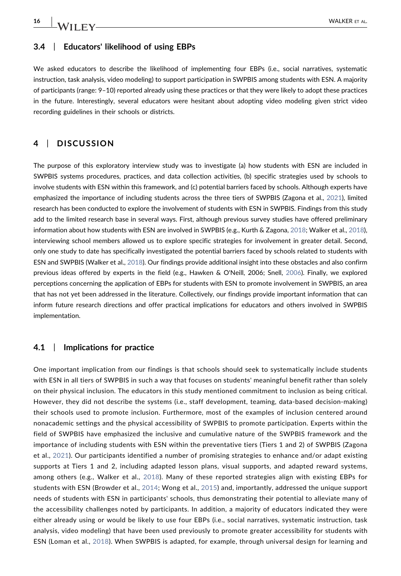## $16$  |  $N_{\text{ALKER ET AL}}$

We asked educators to describe the likelihood of implementing four EBPs (i.e., social narratives, systematic instruction, task analysis, video modeling) to support participation in SWPBIS among students with ESN. A majority of participants (range: 9–10) reported already using these practices or that they were likely to adopt these practices in the future. Interestingly, several educators were hesitant about adopting video modeling given strict video recording guidelines in their schools or districts.

## 4 | DISCUSSION

The purpose of this exploratory interview study was to investigate (a) how students with ESN are included in SWPBIS systems procedures, practices, and data collection activities, (b) specific strategies used by schools to involve students with ESN within this framework, and (c) potential barriers faced by schools. Although experts have emphasized the importance of including students across the three tiers of SWPBIS (Zagona et al., [2021](#page-20-0)), limited research has been conducted to explore the involvement of students with ESN in SWPBIS. Findings from this study add to the limited research base in several ways. First, although previous survey studies have offered preliminary information about how students with ESN are involved in SWPBIS (e.g., Kurth & Zagona, [2018;](#page-19-14) Walker et al., [2018](#page-19-13)), interviewing school members allowed us to explore specific strategies for involvement in greater detail. Second, only one study to date has specifically investigated the potential barriers faced by schools related to students with ESN and SWPBIS (Walker et al., [2018\)](#page-19-13). Our findings provide additional insight into these obstacles and also confirm previous ideas offered by experts in the field (e.g., Hawken & O'Neill, 2006; Snell, [2006](#page-19-8)). Finally, we explored perceptions concerning the application of EBPs for students with ESN to promote involvement in SWPBIS, an area that has not yet been addressed in the literature. Collectively, our findings provide important information that can inform future research directions and offer practical implications for educators and others involved in SWPBIS implementation.

#### 4.1 | Implications for practice

One important implication from our findings is that schools should seek to systematically include students with ESN in all tiers of SWPBIS in such a way that focuses on students' meaningful benefit rather than solely on their physical inclusion. The educators in this study mentioned commitment to inclusion as being critical. However, they did not describe the systems (i.e., staff development, teaming, data‐based decision‐making) their schools used to promote inclusion. Furthermore, most of the examples of inclusion centered around nonacademic settings and the physical accessibility of SWPBIS to promote participation. Experts within the field of SWPBIS have emphasized the inclusive and cumulative nature of the SWPBIS framework and the importance of including students with ESN within the preventative tiers (Tiers 1 and 2) of SWPBIS (Zagona et al., [2021](#page-20-0)). Our participants identified a number of promising strategies to enhance and/or adapt existing supports at Tiers 1 and 2, including adapted lesson plans, visual supports, and adapted reward systems, among others (e.g., Walker et al., [2018\)](#page-19-13). Many of these reported strategies align with existing EBPs for students with ESN (Browder et al., [2014](#page-18-2); Wong et al., [2015\)](#page-20-1) and, importantly, addressed the unique support needs of students with ESN in participants' schools, thus demonstrating their potential to alleviate many of the accessibility challenges noted by participants. In addition, a majority of educators indicated they were either already using or would be likely to use four EBPs (i.e., social narratives, systematic instruction, task analysis, video modeling) that have been used previously to promote greater accessibility for students with ESN (Loman et al., [2018\)](#page-19-16). When SWPBIS is adapted, for example, through universal design for learning and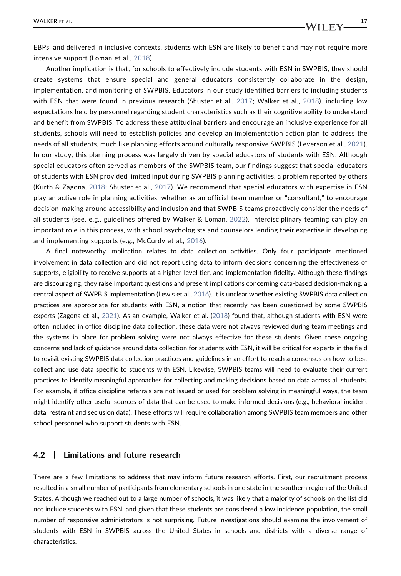EBPs, and delivered in inclusive contexts, students with ESN are likely to benefit and may not require more intensive support (Loman et al., [2018](#page-19-16)).

Another implication is that, for schools to effectively include students with ESN in SWPBIS, they should create systems that ensure special and general educators consistently collaborate in the design, implementation, and monitoring of SWPBIS. Educators in our study identified barriers to including students with ESN that were found in previous research (Shuster et al., [2017;](#page-19-10) Walker et al., [2018\)](#page-19-13), including low expectations held by personnel regarding student characteristics such as their cognitive ability to understand and benefit from SWPBIS. To address these attitudinal barriers and encourage an inclusive experience for all students, schools will need to establish policies and develop an implementation action plan to address the needs of all students, much like planning efforts around culturally responsive SWPBIS (Leverson et al., [2021\)](#page-19-15). In our study, this planning process was largely driven by special educators of students with ESN. Although special educators often served as members of the SWPBIS team, our findings suggest that special educators of students with ESN provided limited input during SWPBIS planning activities, a problem reported by others (Kurth & Zagona, [2018](#page-19-14); Shuster et al., [2017\)](#page-19-10). We recommend that special educators with expertise in ESN play an active role in planning activities, whether as an official team member or "consultant," to encourage decision‐making around accessibility and inclusion and that SWPBIS teams proactively consider the needs of all students (see, e.g., guidelines offered by Walker & Loman, [2022](#page-19-23)). Interdisciplinary teaming can play an important role in this process, with school psychologists and counselors lending their expertise in developing and implementing supports (e.g., McCurdy et al., [2016](#page-19-24)).

A final noteworthy implication relates to data collection activities. Only four participants mentioned involvement in data collection and did not report using data to inform decisions concerning the effectiveness of supports, eligibility to receive supports at a higher-level tier, and implementation fidelity. Although these findings are discouraging, they raise important questions and present implications concerning data-based decision-making, a central aspect of SWPBIS implementation (Lewis et al., [2016\)](#page-19-2). It is unclear whether existing SWPBIS data collection practices are appropriate for students with ESN, a notion that recently has been questioned by some SWPBIS experts (Zagona et al., [2021\)](#page-20-0). As an example, Walker et al. ([2018\)](#page-19-13) found that, although students with ESN were often included in office discipline data collection, these data were not always reviewed during team meetings and the systems in place for problem solving were not always effective for these students. Given these ongoing concerns and lack of guidance around data collection for students with ESN, it will be critical for experts in the field to revisit existing SWPBIS data collection practices and guidelines in an effort to reach a consensus on how to best collect and use data specific to students with ESN. Likewise, SWPBIS teams will need to evaluate their current practices to identify meaningful approaches for collecting and making decisions based on data across all students. For example, if office discipline referrals are not issued or used for problem solving in meaningful ways, the team might identify other useful sources of data that can be used to make informed decisions (e.g., behavioral incident data, restraint and seclusion data). These efforts will require collaboration among SWPBIS team members and other school personnel who support students with ESN.

#### 4.2 | Limitations and future research

There are a few limitations to address that may inform future research efforts. First, our recruitment process resulted in a small number of participants from elementary schools in one state in the southern region of the United States. Although we reached out to a large number of schools, it was likely that a majority of schools on the list did not include students with ESN, and given that these students are considered a low incidence population, the small number of responsive administrators is not surprising. Future investigations should examine the involvement of students with ESN in SWPBIS across the United States in schools and districts with a diverse range of characteristics.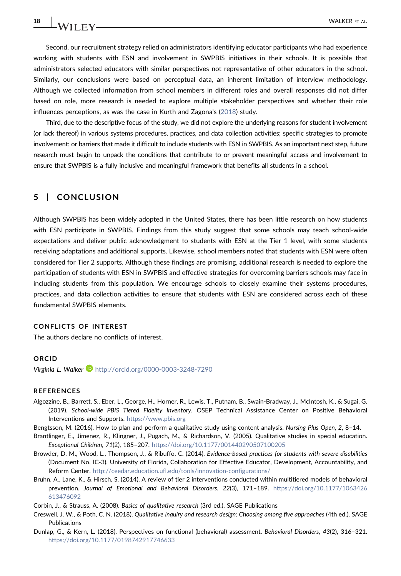Second, our recruitment strategy relied on administrators identifying educator participants who had experience working with students with ESN and involvement in SWPBIS initiatives in their schools. It is possible that administrators selected educators with similar perspectives not representative of other educators in the school. Similarly, our conclusions were based on perceptual data, an inherent limitation of interview methodology. Although we collected information from school members in different roles and overall responses did not differ based on role, more research is needed to explore multiple stakeholder perspectives and whether their role influences perceptions, as was the case in Kurth and Zagona's ([2018](#page-19-14)) study.

Third, due to the descriptive focus of the study, we did not explore the underlying reasons for student involvement (or lack thereof) in various systems procedures, practices, and data collection activities; specific strategies to promote involvement; or barriers that made it difficult to include students with ESN in SWPBIS. As an important next step, future research must begin to unpack the conditions that contribute to or prevent meaningful access and involvement to ensure that SWPBIS is a fully inclusive and meaningful framework that benefits all students in a school.

## 5 | CONCLUSION

Although SWPBIS has been widely adopted in the United States, there has been little research on how students with ESN participate in SWPBIS. Findings from this study suggest that some schools may teach school‐wide expectations and deliver public acknowledgment to students with ESN at the Tier 1 level, with some students receiving adaptations and additional supports. Likewise, school members noted that students with ESN were often considered for Tier 2 supports. Although these findings are promising, additional research is needed to explore the participation of students with ESN in SWPBIS and effective strategies for overcoming barriers schools may face in including students from this population. We encourage schools to closely examine their systems procedures, practices, and data collection activities to ensure that students with ESN are considered across each of these fundamental SWPBIS elements.

#### CONFLICTS OF INTEREST

The authors declare no conflicts of interest.

#### ORCID

Virginia L. Walker in <http://orcid.org/0000-0003-3248-7290>

#### **REFERENCES**

- <span id="page-18-4"></span>Algozzine, B., Barrett, S., Eber, L., George, H., Horner, R., Lewis, T., Putnam, B., Swain‐Bradway, J., McIntosh, K., & Sugai, G. (2019). School‐wide PBIS Tiered Fidelity Inventory. OSEP Technical Assistance Center on Positive Behavioral Interventions and Supports. [https://www.pbis.org](http://www.pbis.org)
- <span id="page-18-7"></span>Bengtsson, M. (2016). How to plan and perform a qualitative study using content analysis. Nursing Plus Open, 2, 8–14.
- <span id="page-18-5"></span>Brantlinger, E., Jimenez, R., Klingner, J., Pugach, M., & Richardson, V. (2005). Qualitative studies in special education. Exceptional Children, 71(2), 185–207. <https://doi.org/10.1177/001440290507100205>
- <span id="page-18-2"></span>Browder, D. M., Wood, L., Thompson, J., & Ribuffo, C. (2014). Evidence-based practices for students with severe disabilities (Document No. IC‐3). University of Florida, Collaboration for Effective Educator, Development, Accountability, and Reform Center. <http://ceedar.education.ufl.edu/tools/innovation-configurations/>
- <span id="page-18-0"></span>Bruhn, A., Lane, K., & Hirsch, S. (2014). A review of tier 2 interventions conducted within multitiered models of behavioral prevention. Journal of Emotional and Behavioral Disorders, 22(3), 171-189. [https://doi.org/10.1177/1063426](https://doi.org/10.1177/1063426613476092) [613476092](https://doi.org/10.1177/1063426613476092)
- <span id="page-18-3"></span>Corbin, J., & Strauss, A. (2008). Basics of qualitative research (3rd ed.). SAGE Publications
- <span id="page-18-6"></span>Creswell, J. W., & Poth, C. N. (2018). Qualitative inquiry and research design: Choosing among five approaches (4th ed.). SAGE Publications
- <span id="page-18-1"></span>Dunlap, G., & Kern, L. (2018). Perspectives on functional (behavioral) assessment. Behavioral Disorders, 43(2), 316–321. <https://doi.org/10.1177/0198742917746633>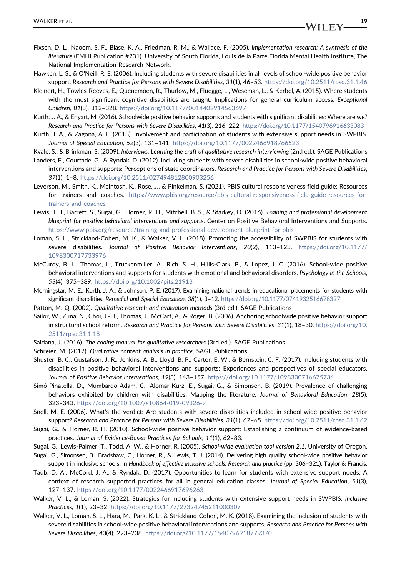- <span id="page-19-18"></span>Fixsen, D. L., Naoom, S. F., Blase, K. A., Friedman, R. M., & Wallace, F. (2005). Implementation research: A synthesis of the literature (FMHI Publication #231). University of South Florida, Louis de la Parte Florida Mental Health Institute, The National Implementation Research Network.
- <span id="page-19-7"></span>Hawken, L. S., & O'Neill, R. E. (2006). Including students with severe disabilities in all levels of school‐wide positive behavior support. Research and Practice for Persons with Severe Disabilities, 31(1), 46-53. <https://doi.org/10.2511/rpsd.31.1.46>
- <span id="page-19-5"></span>Kleinert, H., Towles‐Reeves, E., Quenemoen, R., Thurlow, M., Fluegge, L., Weseman, L., & Kerbel, A. (2015). Where students with the most significant cognitive disabilities are taught: Implications for general curriculum access. Exceptional Children, 81(3), 312–328. <https://doi.org/10.1177/0014402914563697>
- <span id="page-19-12"></span>Kurth, J. A., & Enyart, M. (2016). Schoolwide positive behavior supports and students with significant disabilities: Where are we? Research and Practice for Persons with Severe Disabilities, 41(3), 216–222. <https://doi.org/10.1177/1540796916633083>
- <span id="page-19-14"></span>Kurth, J. A., & Zagona, A. L. (2018). Involvement and participation of students with extensive support needs in SWPBIS. Journal of Special Education, 52(3), 131–141. <https://doi.org/10.1177/0022466918766523>
- <span id="page-19-20"></span>Kvale, S., & Brinkman, S. (2009). Interviews: Learning the craft of qualitative research interviewing (2nd ed.). SAGE Publications
- <span id="page-19-9"></span>Landers, E., Courtade, G., & Ryndak, D. (2012). Including students with severe disabilities in school-wide positive behavioral interventions and supports: Perceptions of state coordinators. Research and Practice for Persons with Severe Disabilities, 37(1), 1–8. <https://doi.org/10.2511/027494812800903256>
- <span id="page-19-15"></span>Leverson, M., Smith, K., McIntosh, K., Rose, J., & Pinkelman, S. (2021). PBIS cultural responsiveness field guide: Resources for trainers and coaches. [https://www.pbis.org/resource/pbis-cultural-responsiveness-field-guide-resources-for](https://www.pbis.org/resource/pbis-cultural-responsiveness-field-guide-resources-for-trainers-and-coaches)[trainers-and-coaches](https://www.pbis.org/resource/pbis-cultural-responsiveness-field-guide-resources-for-trainers-and-coaches)
- <span id="page-19-2"></span>Lewis, T. J., Barrett, S., Sugai, G., Horner, R. H., Mitchell, B. S., & Starkey, D. (2016). Training and professional development blueprint for positive behavioral interventions and supports. Center on Positive Behavioral Interventions and Supports. <https://www.pbis.org/resource/training-and-professional-development-blueprint-for-pbis>
- <span id="page-19-16"></span>Loman, S. L., Strickland‐Cohen, M. K., & Walker, V. L. (2018). Promoting the accessibility of SWPBIS for students with severe disabilities. Journal of Positive Behavior Interventions, 20(2), 113–123. [https://doi.org/10.1177/](https://doi.org/10.1177/1098300717733976) [1098300717733976](https://doi.org/10.1177/1098300717733976)
- <span id="page-19-24"></span>McCurdy, B. L., Thomas, L., Truckenmiller, A., Rich, S. H., Hillis‐Clark, P., & Lopez, J. C. (2016). School‐wide positive behavioral interventions and supports for students with emotional and behavioral disorders. Psychology in the Schools, 53(4), 375–389. <https://doi.org/10.1002/pits.21913>
- <span id="page-19-6"></span>Morningstar, M. E., Kurth, J. A., & Johnson, P. E. (2017). Examining national trends in educational placements for students with significant disabilities. Remedial and Special Education, 38(1), 3-12. <https://doi.org/10.1177/0741932516678327>
- <span id="page-19-17"></span>Patton, M. Q. (2002). Qualitative research and evaluation methods (3rd ed.). SAGE Publications
- <span id="page-19-11"></span>Sailor, W., Zuna, N., Choi, J.‐H., Thomas, J., McCart, A., & Roger, B. (2006). Anchoring schoolwide positive behavior support in structural school reform. Research and Practice for Persons with Severe Disabilities, 31(1), 18–30. [https://doi.org/10.](https://doi.org/10.2511/rpsd.31.1.18) [2511/rpsd.31.1.18](https://doi.org/10.2511/rpsd.31.1.18)
- <span id="page-19-22"></span>Saldana, J. (2016). The coding manual for qualitative researchers (3rd ed.). SAGE Publications
- <span id="page-19-21"></span>Schreier, M. (2012). Qualitative content analysis in practice. SAGE Publications
- <span id="page-19-10"></span>Shuster, B. C., Gustafson, J. R., Jenkins, A. B., Lloyd, B. P., Carter, E. W., & Bernstein, C. F. (2017). Including students with disabilities in positive behavioral interventions and supports: Experiences and perspectives of special educators. Journal of Positive Behavior Interventions, 19(3), 143–157. <https://doi.org/10.1177/1098300716675734>
- <span id="page-19-4"></span>Simó‐Pinatella, D., Mumbardó‐Adam, C., Alomar‐Kurz, E., Sugai, G., & Simonsen, B. (2019). Prevalence of challenging behaviors exhibited by children with disabilities: Mapping the literature. Journal of Behavioral Education, 28(5), 323–343. <https://doi.org/10.1007/s10864-019-09326-9>
- <span id="page-19-8"></span>Snell, M. E. (2006). What's the verdict: Are students with severe disabilities included in school‐wide positive behavior support? Research and Practice for Persons with Severe Disabilities, 31(1), 62-65. <https://doi.org/10.2511/rpsd.31.1.62>
- <span id="page-19-1"></span>Sugai, G., & Horner, R. H. (2010). School‐wide positive behavior support: Establishing a continuum of evidence‐based practices. Journal of Evidence‐Based Practices for Schools, 11(1), 62–83.
- <span id="page-19-19"></span>Sugai, G., Lewis-Palmer, T., Todd, A. W., & Horner, R. (2005). School-wide evaluation tool version 2.1. University of Oregon.
- <span id="page-19-0"></span>Sugai, G., Simonsen, B., Bradshaw, C., Horner, R., & Lewis, T. J. (2014). Delivering high quality school‐wide positive behavior support in inclusive schools. In Handbook of effective inclusive schools: Research and practice (pp. 306–321). Taylor & Francis.
- <span id="page-19-3"></span>Taub, D. A., McCord, J. A., & Ryndak, D. (2017). Opportunities to learn for students with extensive support needs: A context of research supported practices for all in general education classes. Journal of Special Education, 51(3), 127–137. <https://doi.org/10.1177/0022466917696263>
- <span id="page-19-23"></span>Walker, V. L., & Loman, S. (2022). Strategies for including students with extensive support needs in SWPBIS. Inclusive Practices, 1(1), 23–32. <https://doi.org/10.1177/27324745211000307>
- <span id="page-19-13"></span>Walker, V. L., Loman, S. L., Hara, M., Park, K. L., & Strickland-Cohen, M. K. (2018). Examining the inclusion of students with severe disabilities in school-wide positive behavioral interventions and supports. Research and Practice for Persons with Severe Disabilities, 43(4), 223–238. <https://doi.org/10.1177/1540796918779370>